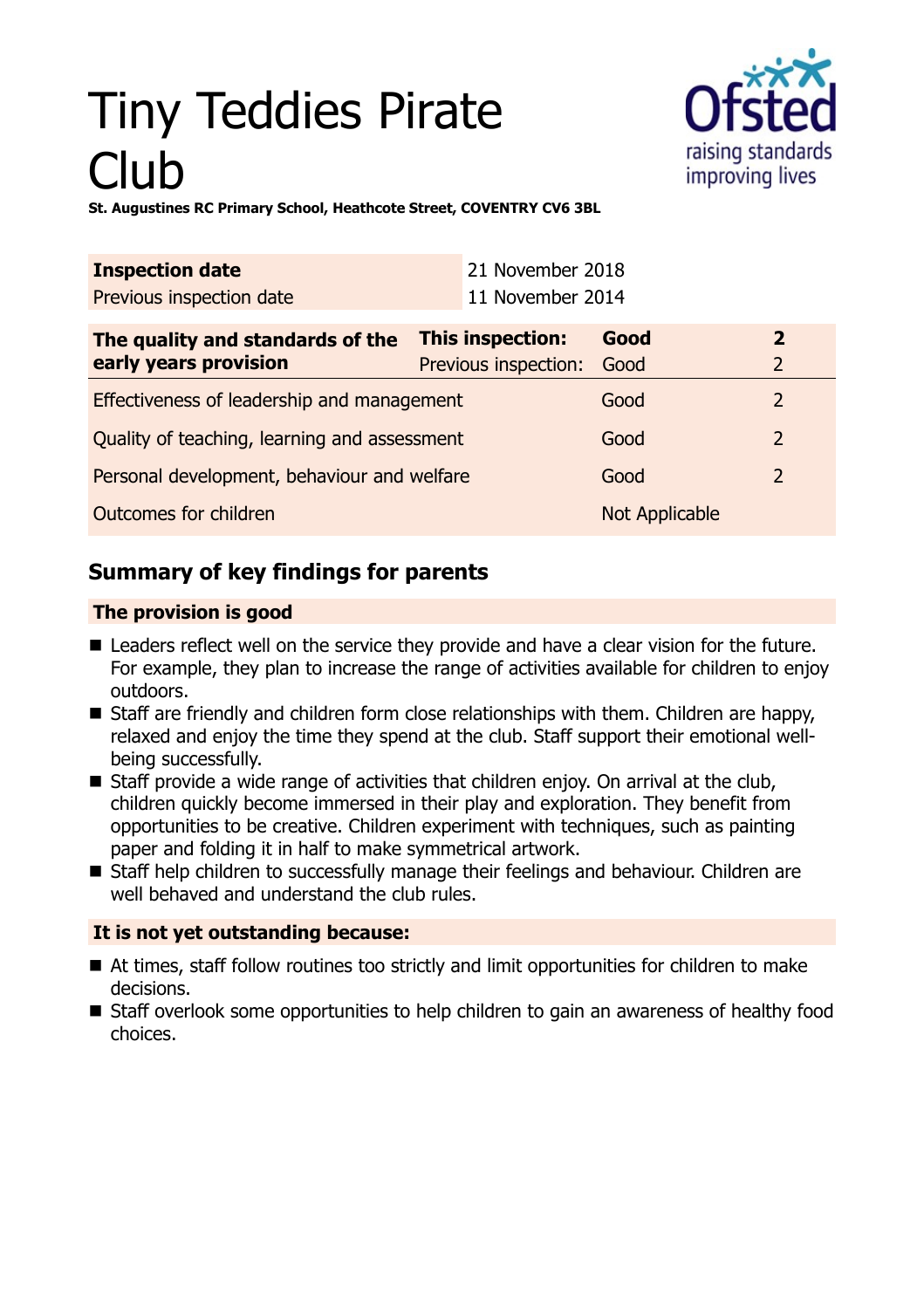# Tiny Teddies Pirate Club



**St. Augustines RC Primary School, Heathcote Street, COVENTRY CV6 3BL**

| <b>Inspection date</b><br>Previous inspection date        |                                               | 21 November 2018<br>11 November 2014 |      |                              |
|-----------------------------------------------------------|-----------------------------------------------|--------------------------------------|------|------------------------------|
| The quality and standards of the<br>early years provision | This inspection:<br>Previous inspection: Good |                                      | Good | $\overline{\mathbf{z}}$<br>2 |
| Effectiveness of leadership and management                |                                               |                                      | Good | $\mathcal{L}$                |

| Encenvences or readership and management     | uuu            |               |
|----------------------------------------------|----------------|---------------|
| Quality of teaching, learning and assessment | Good           | 2             |
| Personal development, behaviour and welfare  | Good           | $\mathcal{P}$ |
| Outcomes for children                        | Not Applicable |               |

# **Summary of key findings for parents**

## **The provision is good**

- Leaders reflect well on the service they provide and have a clear vision for the future. For example, they plan to increase the range of activities available for children to enjoy outdoors.
- Staff are friendly and children form close relationships with them. Children are happy, relaxed and enjoy the time they spend at the club. Staff support their emotional wellbeing successfully.
- $\blacksquare$  Staff provide a wide range of activities that children enjoy. On arrival at the club, children quickly become immersed in their play and exploration. They benefit from opportunities to be creative. Children experiment with techniques, such as painting paper and folding it in half to make symmetrical artwork.
- Staff help children to successfully manage their feelings and behaviour. Children are well behaved and understand the club rules.

## **It is not yet outstanding because:**

- At times, staff follow routines too strictly and limit opportunities for children to make decisions.
- Staff overlook some opportunities to help children to gain an awareness of healthy food choices.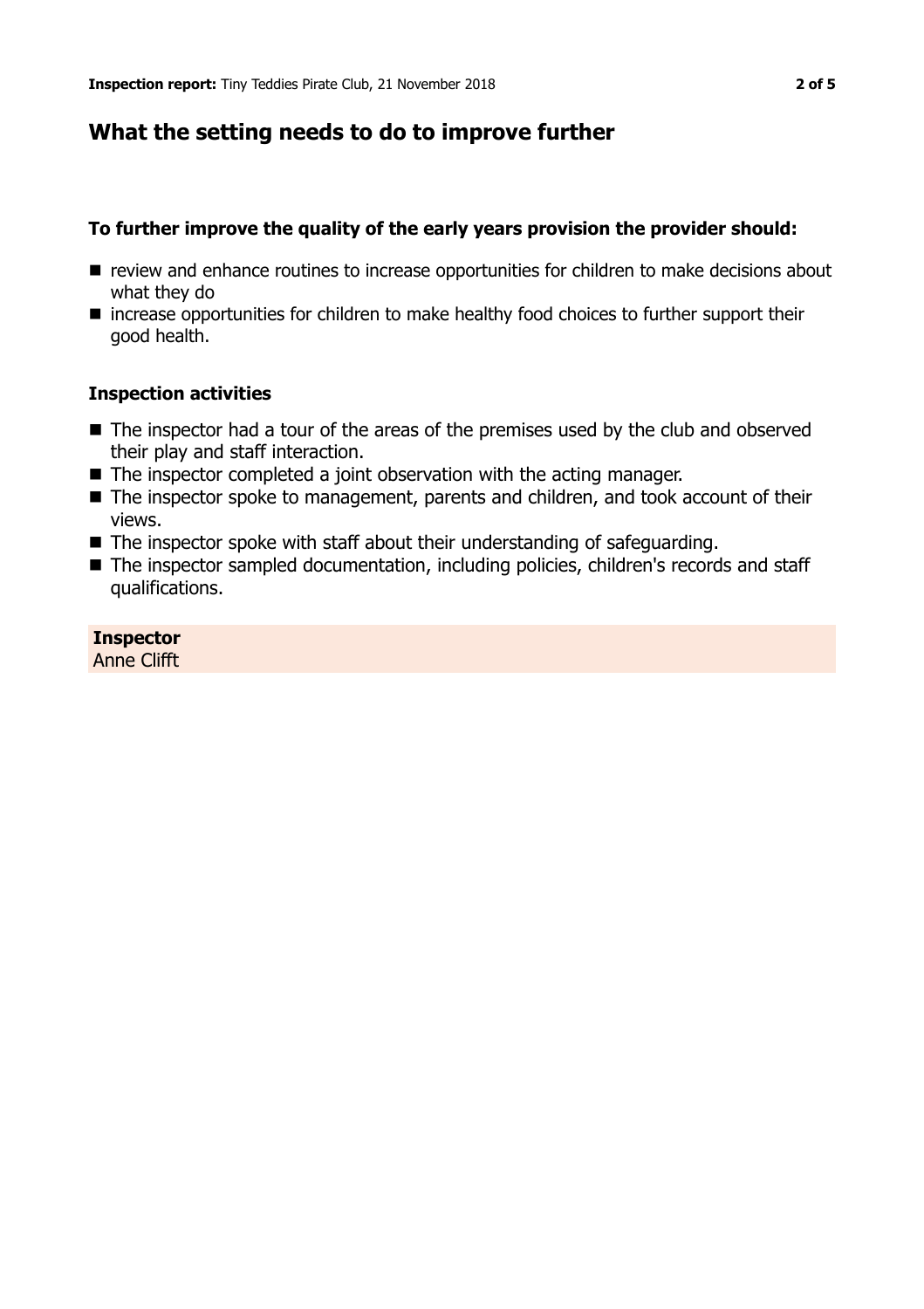## **What the setting needs to do to improve further**

#### **To further improve the quality of the early years provision the provider should:**

- $\blacksquare$  review and enhance routines to increase opportunities for children to make decisions about what they do
- increase opportunities for children to make healthy food choices to further support their good health.

#### **Inspection activities**

- $\blacksquare$  The inspector had a tour of the areas of the premises used by the club and observed their play and staff interaction.
- $\blacksquare$  The inspector completed a joint observation with the acting manager.
- The inspector spoke to management, parents and children, and took account of their views.
- $\blacksquare$  The inspector spoke with staff about their understanding of safeguarding.
- The inspector sampled documentation, including policies, children's records and staff qualifications.

**Inspector** Anne Clifft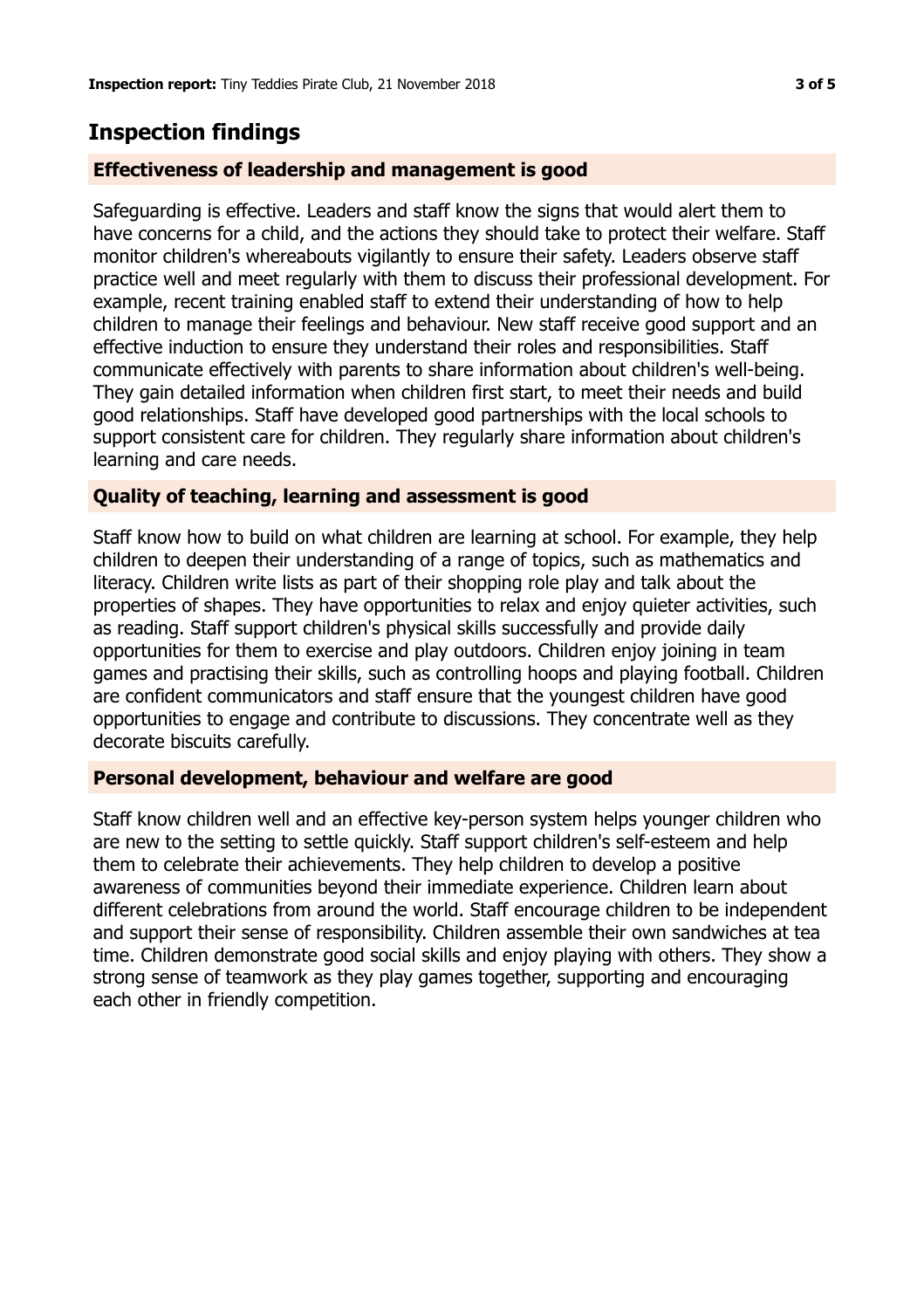## **Inspection findings**

#### **Effectiveness of leadership and management is good**

Safeguarding is effective. Leaders and staff know the signs that would alert them to have concerns for a child, and the actions they should take to protect their welfare. Staff monitor children's whereabouts vigilantly to ensure their safety. Leaders observe staff practice well and meet regularly with them to discuss their professional development. For example, recent training enabled staff to extend their understanding of how to help children to manage their feelings and behaviour. New staff receive good support and an effective induction to ensure they understand their roles and responsibilities. Staff communicate effectively with parents to share information about children's well-being. They gain detailed information when children first start, to meet their needs and build good relationships. Staff have developed good partnerships with the local schools to support consistent care for children. They regularly share information about children's learning and care needs.

#### **Quality of teaching, learning and assessment is good**

Staff know how to build on what children are learning at school. For example, they help children to deepen their understanding of a range of topics, such as mathematics and literacy. Children write lists as part of their shopping role play and talk about the properties of shapes. They have opportunities to relax and enjoy quieter activities, such as reading. Staff support children's physical skills successfully and provide daily opportunities for them to exercise and play outdoors. Children enjoy joining in team games and practising their skills, such as controlling hoops and playing football. Children are confident communicators and staff ensure that the youngest children have good opportunities to engage and contribute to discussions. They concentrate well as they decorate biscuits carefully.

#### **Personal development, behaviour and welfare are good**

Staff know children well and an effective key-person system helps younger children who are new to the setting to settle quickly. Staff support children's self-esteem and help them to celebrate their achievements. They help children to develop a positive awareness of communities beyond their immediate experience. Children learn about different celebrations from around the world. Staff encourage children to be independent and support their sense of responsibility. Children assemble their own sandwiches at tea time. Children demonstrate good social skills and enjoy playing with others. They show a strong sense of teamwork as they play games together, supporting and encouraging each other in friendly competition.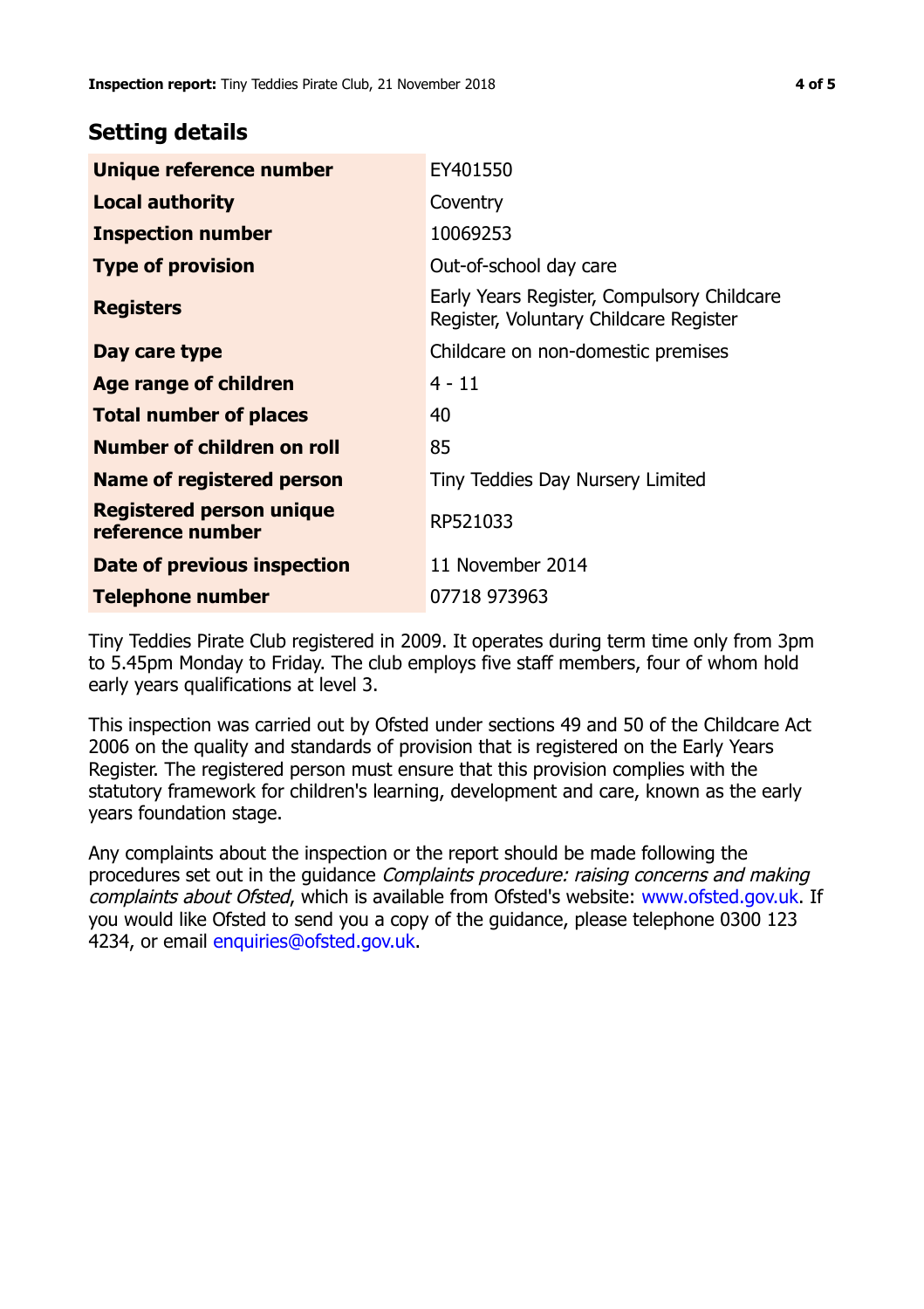## **Setting details**

| Unique reference number                             | EY401550                                                                             |
|-----------------------------------------------------|--------------------------------------------------------------------------------------|
| <b>Local authority</b>                              | Coventry                                                                             |
| <b>Inspection number</b>                            | 10069253                                                                             |
| <b>Type of provision</b>                            | Out-of-school day care                                                               |
| <b>Registers</b>                                    | Early Years Register, Compulsory Childcare<br>Register, Voluntary Childcare Register |
| Day care type                                       | Childcare on non-domestic premises                                                   |
| Age range of children                               | $4 - 11$                                                                             |
| <b>Total number of places</b>                       | 40                                                                                   |
| Number of children on roll                          | 85                                                                                   |
| Name of registered person                           | Tiny Teddies Day Nursery Limited                                                     |
| <b>Registered person unique</b><br>reference number | RP521033                                                                             |
| Date of previous inspection                         | 11 November 2014                                                                     |
| <b>Telephone number</b>                             | 07718 973963                                                                         |

Tiny Teddies Pirate Club registered in 2009. It operates during term time only from 3pm to 5.45pm Monday to Friday. The club employs five staff members, four of whom hold early years qualifications at level 3.

This inspection was carried out by Ofsted under sections 49 and 50 of the Childcare Act 2006 on the quality and standards of provision that is registered on the Early Years Register. The registered person must ensure that this provision complies with the statutory framework for children's learning, development and care, known as the early years foundation stage.

Any complaints about the inspection or the report should be made following the procedures set out in the guidance Complaints procedure: raising concerns and making complaints about Ofsted, which is available from Ofsted's website: www.ofsted.gov.uk. If you would like Ofsted to send you a copy of the guidance, please telephone 0300 123 4234, or email [enquiries@ofsted.gov.uk.](mailto:enquiries@ofsted.gov.uk)